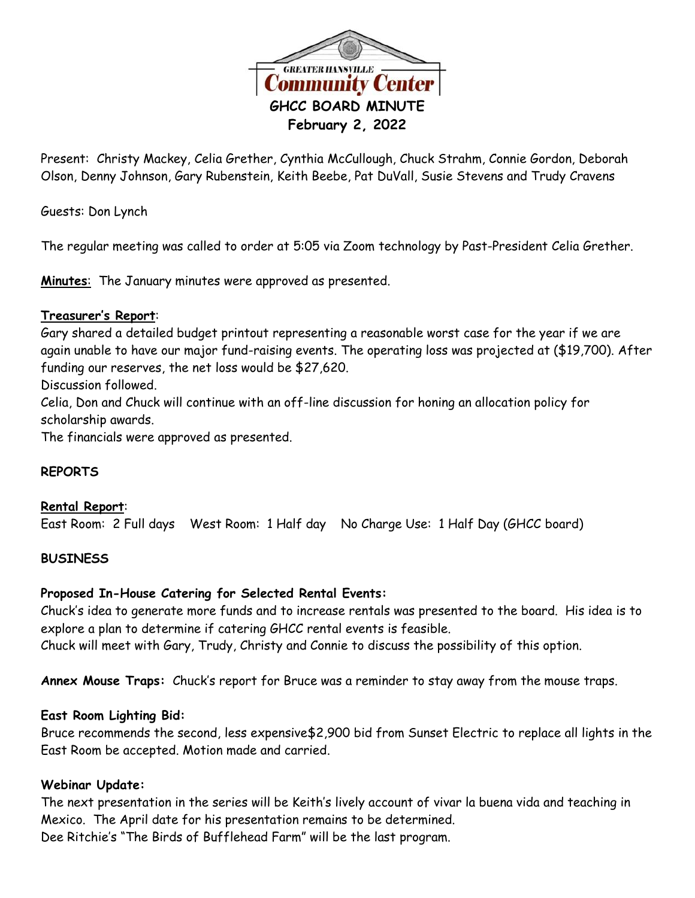

Present: Christy Mackey, Celia Grether, Cynthia McCullough, Chuck Strahm, Connie Gordon, Deborah Olson, Denny Johnson, Gary Rubenstein, Keith Beebe, Pat DuVall, Susie Stevens and Trudy Cravens

Guests: Don Lynch

The regular meeting was called to order at 5:05 via Zoom technology by Past-President Celia Grether.

**Minutes**: The January minutes were approved as presented.

# **Treasurer's Report**:

Gary shared a detailed budget printout representing a reasonable worst case for the year if we are again unable to have our major fund-raising events. The operating loss was projected at (\$19,700). After funding our reserves, the net loss would be \$27,620.

Discussion followed.

Celia, Don and Chuck will continue with an off-line discussion for honing an allocation policy for scholarship awards.

The financials were approved as presented.

# **REPORTS**

#### **Rental Report**:

East Room: 2 Full days West Room: 1 Half day No Charge Use: 1 Half Day (GHCC board)

# **BUSINESS**

# **Proposed In-House Catering for Selected Rental Events:**

Chuck's idea to generate more funds and to increase rentals was presented to the board. His idea is to explore a plan to determine if catering GHCC rental events is feasible. Chuck will meet with Gary, Trudy, Christy and Connie to discuss the possibility of this option.

**Annex Mouse Traps:** Chuck's report for Bruce was a reminder to stay away from the mouse traps.

#### **East Room Lighting Bid:**

Bruce recommends the second, less expensive\$2,900 bid from Sunset Electric to replace all lights in the East Room be accepted. Motion made and carried.

#### **Webinar Update:**

The next presentation in the series will be Keith's lively account of vivar la buena vida and teaching in Mexico. The April date for his presentation remains to be determined. Dee Ritchie's "The Birds of Bufflehead Farm" will be the last program.